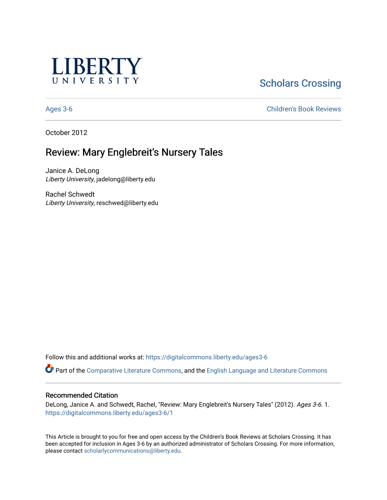

# **Scholars Crossing**

[Ages 3-6](https://digitalcommons.liberty.edu/ages3-6) [Children's Book Reviews](https://digitalcommons.liberty.edu/child_bookrev) 

October 2012

# Review: Mary Englebreit's Nursery Tales

Janice A. DeLong Liberty University, jadelong@liberty.edu

Rachel Schwedt Liberty University, reschwed@liberty.edu

Follow this and additional works at: [https://digitalcommons.liberty.edu/ages3-6](https://digitalcommons.liberty.edu/ages3-6?utm_source=digitalcommons.liberty.edu%2Fages3-6%2F1&utm_medium=PDF&utm_campaign=PDFCoverPages) 

Part of the [Comparative Literature Commons](http://network.bepress.com/hgg/discipline/454?utm_source=digitalcommons.liberty.edu%2Fages3-6%2F1&utm_medium=PDF&utm_campaign=PDFCoverPages), and the [English Language and Literature Commons](http://network.bepress.com/hgg/discipline/455?utm_source=digitalcommons.liberty.edu%2Fages3-6%2F1&utm_medium=PDF&utm_campaign=PDFCoverPages)

#### Recommended Citation

DeLong, Janice A. and Schwedt, Rachel, "Review: Mary Englebreit's Nursery Tales" (2012). Ages 3-6. 1. [https://digitalcommons.liberty.edu/ages3-6/1](https://digitalcommons.liberty.edu/ages3-6/1?utm_source=digitalcommons.liberty.edu%2Fages3-6%2F1&utm_medium=PDF&utm_campaign=PDFCoverPages)

This Article is brought to you for free and open access by the Children's Book Reviews at Scholars Crossing. It has been accepted for inclusion in Ages 3-6 by an authorized administrator of Scholars Crossing. For more information, please contact [scholarlycommunications@liberty.edu.](mailto:scholarlycommunications@liberty.edu)